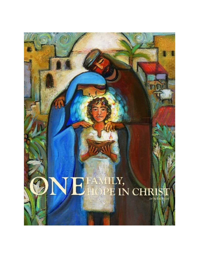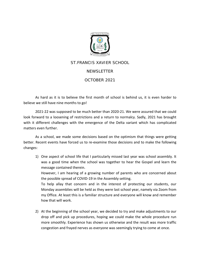

## ST.FRANCIS XAVIER SCHOOL **NEWSLETTER**

## OCTOBER 2021

As hard as it is to believe the first month of school is behind us, it is even harder to believe we still have nine months to go!

2021-22 was supposed to be much better than 2020-21. We were assured that we could look forward to a loosening of restrictions and a return to normalcy. Sadly, 2021 has brought with it different challenges with the emergence of the Delta variant which has complicated matters even further.

As a school, we made some decisions based on the optimism that things were getting better. Recent events have forced us to re-examine those decisions and to make the following changes:

1) One aspect of school life that I particularly missed last year was school assembly. It was a good time when the school was together to hear the Gospel and learn the message contained therein. However, I am hearing of a growing number of parents who are concerned about

the possible spread of COVID-19 in the Assembly setting. To help allay that concern and in the interest of protecting our students, our Monday assemblies will be held as they were last school year, namely via Zoom from my Office. At least this is a familiar structure and everyone will know and remember

how that will work.

2) At the beginning of the school year, we decided to try and make adjustments to our drop off and pick up procedures, hoping we could make the whole procedure run more smoothly. Experience has shown us otherwise and the result was more traffic congestion and frayed nerves as everyone was seemingly trying to come at once.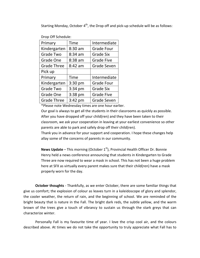Starting Monday, October  $4<sup>th</sup>$ , the Drop off and pick-up schedule will be as follows:

Drop Off Schedule:

| Primary            | Time      | Intermediate       |
|--------------------|-----------|--------------------|
| Kindergarten       | 8:30 am   | <b>Grade Four</b>  |
| Grade Two          | $8:34$ am | <b>Grade Six</b>   |
| Grade One          | 8:38 am   | <b>Grade Five</b>  |
| <b>Grade Three</b> | 8:42 am   | <b>Grade Seven</b> |
| Pick up            |           |                    |
| Primary            | Time      | Intermediate       |
| Kindergarten       | $3:30$ pm | <b>Grade Four</b>  |
| <b>Grade Two</b>   | $3:34$ pm | <b>Grade Six</b>   |
| Grade One          | $3:38$ pm | <b>Grade Five</b>  |
| <b>Grade Three</b> | $3:42$ pm | <b>Grade Seven</b> |

\*Please note Wednesday times are one hour earlier.

Our goal is always to get all the students in their classrooms as quickly as possible. After you have dropped off your child(ren) and they have been taken to their classroom, we ask your cooperation in leaving at your earliest convenience so other parents are able to park and safely drop off their child(ren).

Thank you in advance for your support and cooperation. I hope these changes help allay some of the concerns of parents in our community.

**News Update** – This morning (October 1<sup>st</sup>), Provincial Health Officer Dr. Bonnie Henry held a news conference announcing that students in Kindergarten to Grade Three are now required to wear a mask in school. This has not been a huge problem here at SFX as virtually every parent makes sure that their child(ren) have a mask properly worn for the day.

**October thoughts** - Thankfully, as we enter October, there are some familiar things that give us comfort; the explosion of colour as leaves turn in a kaleidoscope of glory and splendor, the cooler weather, the return of rain, and the beginning of school. We are reminded of the bright beauty that is nature in the Fall. The bright dark reds, the subtle yellow, and the warm brown of the trees give a touch of vibrancy to sustain us through the stark greys that can characterize winter.

Personally Fall is my favourite time of year. I love the crisp cool air, and the colours described above. At times we do not take the opportunity to truly appreciate what Fall has to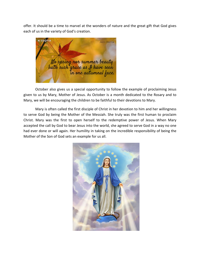offer. It should be a time to marvel at the wonders of nature and the great gift that God gives each of us in the variety of God's creation.



October also gives us a special opportunity to follow the example of proclaiming Jesus given to us by Mary, Mother of Jesus. As October is a month dedicated to the Rosary and to Mary, we will be encouraging the children to be faithful to their devotions to Mary.

Mary is often called the first disciple of Christ in her devotion to him and her willingness to serve God by being the Mother of the Messiah. She truly was the first human to proclaim Christ. Mary was the first to open herself to the redemptive power of Jesus. When Mary accepted the call by God to bear Jesus into the world, she agreed to serve God in a way no one had ever done or will again. Her humility in taking on the incredible responsibility of being the Mother of the Son of God sets an example for us all.

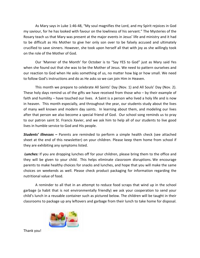As Mary says in Luke 1:46-48, "My soul magnifies the Lord, and my Spirit rejoices in God my saviour, for he has looked with favour on the lowliness of his servant." The Mysteries of the Rosary teach us that Mary was present at the major events in Jesus' life and ministry and it had to be difficult as His Mother to give her only son over to be falsely accused and ultimately crucified to save sinners. However, she took upon herself all that with joy as she willingly took on the role of the Mother of God.

Our 'Manner of the Month' for October is to "Say YES to God" just as Mary said Yes when she found out that she was to be the Mother of Jesus. We need to pattern ourselves and our reaction to God when He asks something of us, no matter how big or how small. We need to follow God's instructions and do as He asks so we can join Him in Heaven.

This month we prepare to celebrate All Saints' Day (Nov. 1) and All Souls' Day (Nov. 2). These holy days remind us of the gifts we have received from those who – by their example of faith and humility – have touched our lives. A Saint is a person who lived a holy life and is now in heaven. This month especially, and throughout the year, our students study about the lives of many well known and modern day saints. In learning about them, and modeling our lives after that person we also become a special friend of God. Our school song reminds us to pray to our patron saint St. Francis Xavier, and we ask him to help all of our students to live good lives in humble service to God and His people.

*Students' illnesses –* Parents are reminded to perform a simple health check (see attached sheet at the end of this newsletter) on your children. Please keep them home from school if they are exhibiting any symptoms listed.

**Lunches:** If you are dropping lunches off for your children, please bring them to the office and they will be given to your child. This helps eliminate classroom disruptions. We encourage parents to make healthy choices for snacks and lunches, and hope that you will make the same choices on weekends as well. Please check product packaging for information regarding the nutritional value of food.

A reminder to all that in an attempt to reduce food scraps that wind up in the school garbage (a habit that is not environmentally friendly) we ask your cooperation to send your child's lunch in a reusable container such as pictured below. The children will be taught in their classrooms to package up any leftovers and garbage from their lunch to take home for disposal.



Thank you!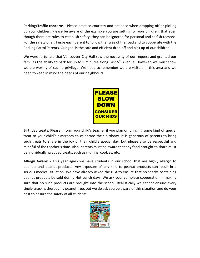**Parking/Traffic concerns:** Please practice courtesy and patience when dropping off or picking up your children. Please be aware of the example you are setting for your children, that even though there are rules to establish safety, they can be ignored for personal and selfish reasons. For the safety of all, I urge each parent to follow the rules of the road and to cooperate with the Parking Patrol Parents. Our goal is the safe and efficient drop off and pick up of our children.

We were fortunate that Vancouver City Hall saw the necessity of our request and granted our families the ability to park for up to 3 minutes along East  $5<sup>th</sup>$  Avenue. However, we must show we are worthy of such a privilege. We need to remember we are visitors in this area and we need to keep in mind the needs of our neighbours.



**Birthday treats:** Please inform your child's teacher if you plan on bringing some kind of special treat to your child's classroom to celebrate their birthday. It is generous of parents to bring such treats to share in the joy of their child's special day, but please also be respectful and mindful of the teacher's time. Also, parents must be aware that any food brought to share must be individually wrapped treats, such as muffins, cookies, etc.

**Allergy Aware! -** This year again we have students in our school that are highly allergic to peanuts and peanut products. Any exposure of any kind to peanut products can result in a serious medical situation. We have already asked the PTA to ensure that no snacks containing peanut products be sold during Hot Lunch days. We ask your complete cooperation in making sure that no such products are brought into the school. Realistically we cannot ensure every single snack is thoroughly peanut free, but we do ask you be aware of this situation and do your best to ensure the safety of all students.

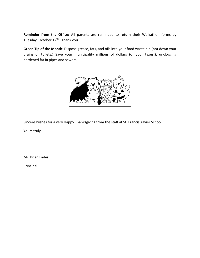**Reminder from the Office:** All parents are reminded to return their Walkathon forms by Tuesday, October 12<sup>th</sup>. Thank you.

**Green Tip of the Month**: Dispose grease, fats, and oils into your food waste bin (not down your drains or toilets.) Save your municipality millions of dollars (of your taxes!), unclogging hardened fat in pipes and sewers.



Sincere wishes for a very Happy Thanksgiving from the staff at St. Francis Xavier School.

Yours truly,

Mr. Brian Fader

Principal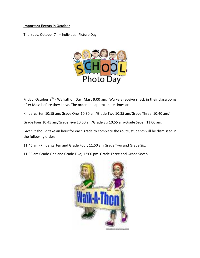## **Important Events in October**

Thursday, October  $7<sup>th</sup>$  – Individual Picture Day.



Friday, October  $8^{th}$  - Walkathon Day. Mass 9:00 am. Walkers receive snack in their classrooms after Mass before they leave. The order and approximate times are:

Kindergarten 10:15 am/Grade One 10:30 am/Grade Two 10:35 am/Grade Three 10:40 am/

Grade Four 10:45 am/Grade Five 10:50 am/Grade Six 10:55 am/Grade Seven 11:00 am.

Given it should take an hour for each grade to complete the route, students will be dismissed in the following order:

11:45 am -Kindergarten and Grade Four; 11:50 am Grade Two and Grade Six;

11:55 am Grade One and Grade Five; 12:00 pm Grade Three and Grade Seven.